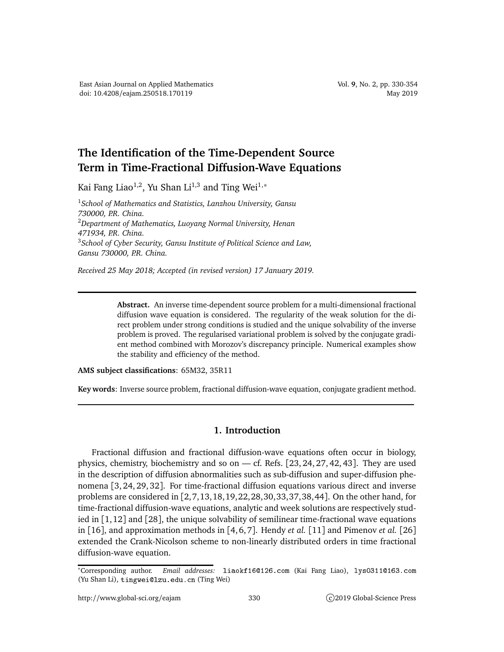## **The Identification of the Time-Dependent Source Term in Time-Fractional Diffusion-Wave Equations**

Kai Fang Liao<sup>1,2</sup>, Yu Shan Li<sup>1,3</sup> and Ting Wei<sup>1,\*</sup>

<sup>1</sup>*School of Mathematics and Statistics, Lanzhou University, Gansu 730000, P.R. China.* <sup>2</sup>*Department of Mathematics, Luoyang Normal University, Henan 471934, P.R. China.* <sup>3</sup>*School of Cyber Security, Gansu Institute of Political Science and Law, Gansu 730000, P.R. China.*

*Received 25 May 2018; Accepted (in revised version) 17 January 2019.*

**Abstract.** An inverse time-dependent source problem for a multi-dimensional fractional diffusion wave equation is considered. The regularity of the weak solution for the direct problem under strong conditions is studied and the unique solvability of the inverse problem is proved. The regularised variational problem is solved by the conjugate gradient method combined with Morozov's discrepancy principle. Numerical examples show the stability and efficiency of the method.

**AMS subject classifications**: 65M32, 35R11

**Key words**: Inverse source problem, fractional diffusion-wave equation, conjugate gradient method.

## **1. Introduction**

Fractional diffusion and fractional diffusion-wave equations often occur in biology, physics, chemistry, biochemistry and so on — cf. Refs.  $[23, 24, 27, 42, 43]$ . They are used in the description of diffusion abnormalities such as sub-diffusion and super-diffusion phenomena [3, 24, 29, 32]. For time-fractional diffusion equations various direct and inverse problems are considered in [2,7,13,18,19,22,28,30,33,37,38,44]. On the other hand, for time-fractional diffusion-wave equations, analytic and week solutions are respectively studied in  $[1, 12]$  and  $[28]$ , the unique solvability of semilinear time-fractional wave equations in [16], and approximation methods in [4, 6, 7]. Hendy *et al.* [11] and Pimenov *et al.* [26] extended the Crank-Nicolson scheme to non-linearly distributed orders in time fractional diffusion-wave equation.

<sup>∗</sup>Corresponding author. *Email addresses:* liaokf16126.
om (Kai Fang Liao), lys0311163.
om (Yu Shan Li), tingwei@lzu.edu.cn (Ting Wei)